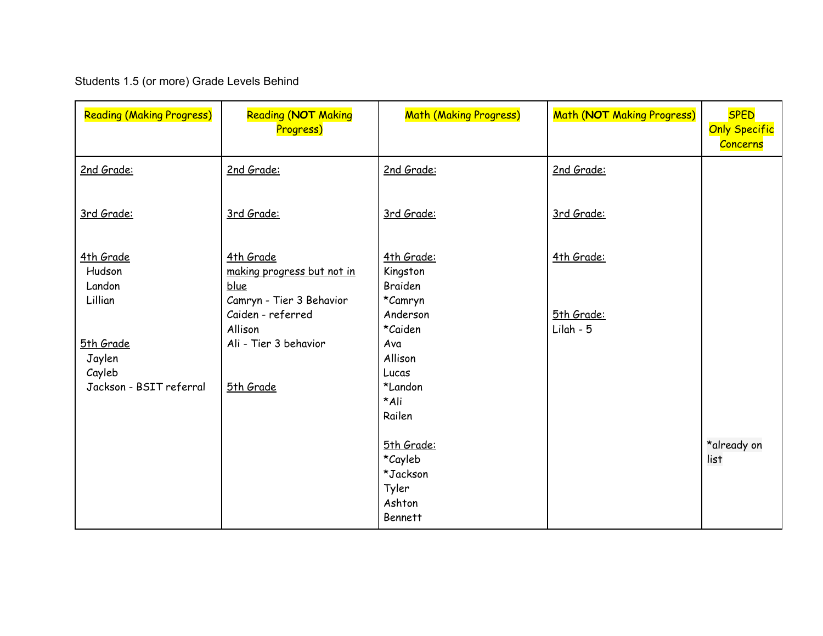# Students 1.5 (or more) Grade Levels Behind

| <b>Reading (Making Progress)</b>                                                                     | <b>Reading (NOT Making</b><br>Progress)                                                                                                           | <b>Math (Making Progress)</b>                                                                                    | Math (NOT Making Progress)              | <b>SPED</b><br><b>Only Specific</b><br><b>Concerns</b> |
|------------------------------------------------------------------------------------------------------|---------------------------------------------------------------------------------------------------------------------------------------------------|------------------------------------------------------------------------------------------------------------------|-----------------------------------------|--------------------------------------------------------|
| 2nd Grade:                                                                                           | 2nd Grade:                                                                                                                                        | 2nd Grade:                                                                                                       | 2nd Grade:                              |                                                        |
| 3rd Grade:                                                                                           | 3rd Grade:                                                                                                                                        | 3rd Grade:                                                                                                       | 3rd Grade:                              |                                                        |
| 4th Grade<br>Hudson<br>Landon<br>Lillian<br>5th Grade<br>Jaylen<br>Cayleb<br>Jackson - BSIT referral | 4th Grade<br>making progress but not in<br>blue<br>Camryn - Tier 3 Behavior<br>Caiden - referred<br>Allison<br>Ali - Tier 3 behavior<br>5th Grade | 4th Grade:<br>Kingston<br><b>Braiden</b><br>*Camryn<br>Anderson<br>*Caiden<br>Ava<br>Allison<br>Lucas<br>*Landon | 4th Grade:<br>5th Grade:<br>$Lilah - 5$ |                                                        |
|                                                                                                      |                                                                                                                                                   | *Ali<br>Railen<br>5th Grade:<br>*Cayleb<br>*Jackson<br>Tyler<br>Ashton<br><b>Bennett</b>                         |                                         | *already on<br>list                                    |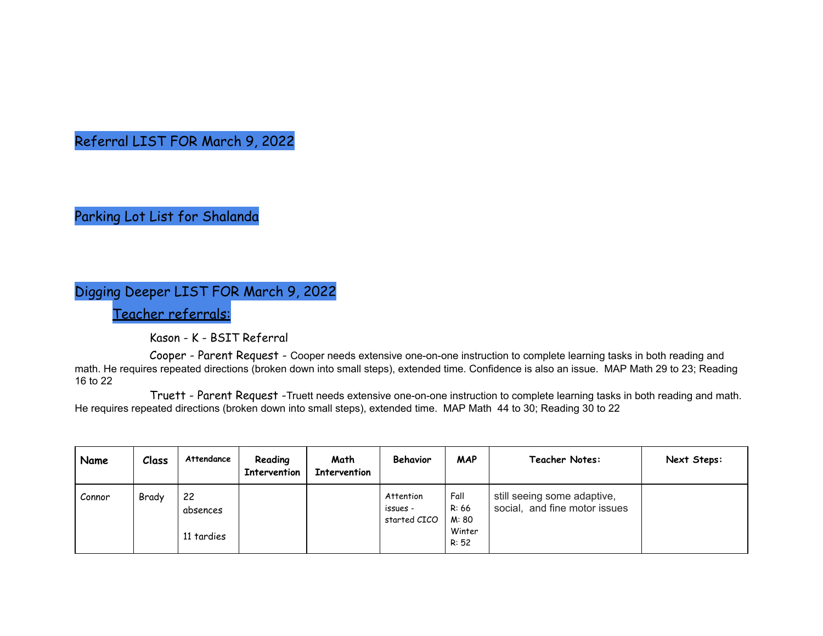Referral LIST FOR March 9, 2022

Parking Lot List for Shalanda

# Digging Deeper LIST FOR March 9, 2022

Teacher referrals:

Kason - K - BSIT Referral

Cooper - Parent Request - Cooper needs extensive one-on-one instruction to complete learning tasks in both reading and math. He requires repeated directions (broken down into small steps), extended time. Confidence is also an issue. MAP Math 29 to 23; Reading 16 to 22

Truett - Parent Request -Truett needs extensive one-on-one instruction to complete learning tasks in both reading and math. He requires repeated directions (broken down into small steps), extended time. MAP Math 44 to 30; Reading 30 to 22

| Name   | Class | Attendance                   | Reading<br><b>Intervention</b> | Math<br><b>Intervention</b> | Behavior                              | <b>MAP</b>                                | <b>Teacher Notes:</b>                                        | Next Steps: |
|--------|-------|------------------------------|--------------------------------|-----------------------------|---------------------------------------|-------------------------------------------|--------------------------------------------------------------|-------------|
| Connor | Brady | 22<br>absences<br>11 tardies |                                |                             | Attention<br>issues -<br>started CICO | Fall<br>R: 66<br>M: 80<br>Winter<br>R: 52 | still seeing some adaptive,<br>social, and fine motor issues |             |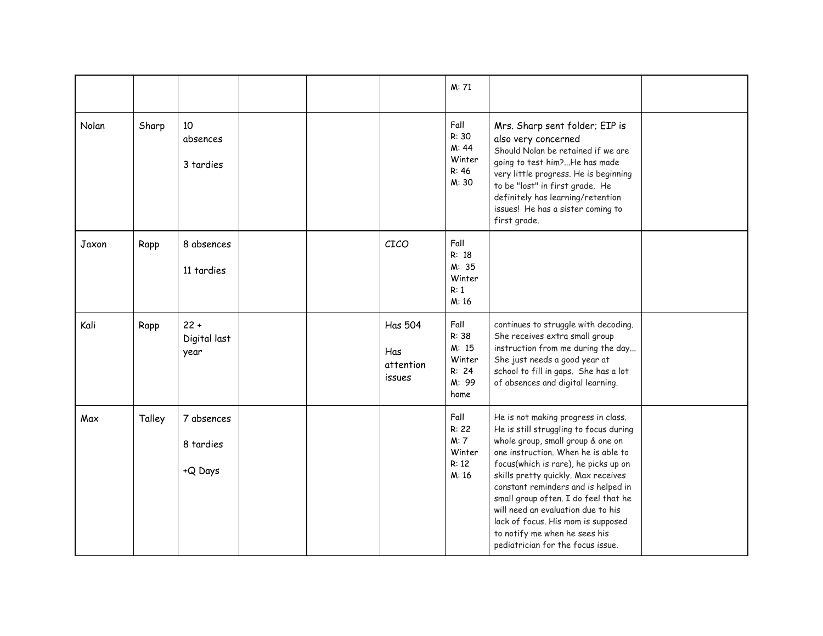|       |        |                                    |  |                                              | M: 71                                                      |                                                                                                                                                                                                                                                                                                                                                                                                                                                                           |  |
|-------|--------|------------------------------------|--|----------------------------------------------|------------------------------------------------------------|---------------------------------------------------------------------------------------------------------------------------------------------------------------------------------------------------------------------------------------------------------------------------------------------------------------------------------------------------------------------------------------------------------------------------------------------------------------------------|--|
| Nolan | Sharp  | 10<br>absences<br>3 tardies        |  |                                              | Fall<br>R: 30<br>M: 44<br>Winter<br>R: 46<br>M: 30         | Mrs. Sharp sent folder; EIP is<br>also very concerned<br>Should Nolan be retained if we are<br>going to test him?He has made<br>very little progress. He is beginning<br>to be "lost" in first grade. He<br>definitely has learning/retention<br>issues! He has a sister coming to<br>first grade.                                                                                                                                                                        |  |
| Jaxon | Rapp   | 8 absences<br>11 tardies           |  | CICO                                         | Fall<br>R: 18<br>M: 35<br>Winter<br>R: 1<br>M:16           |                                                                                                                                                                                                                                                                                                                                                                                                                                                                           |  |
| Kali  | Rapp   | $22 +$<br>Digital last<br>year     |  | <b>Has 504</b><br>Has<br>attention<br>issues | Fall<br>R: 38<br>M: 15<br>Winter<br>R: 24<br>M: 99<br>home | continues to struggle with decoding.<br>She receives extra small group<br>instruction from me during the day<br>She just needs a good year at<br>school to fill in gaps. She has a lot<br>of absences and digital learning.                                                                                                                                                                                                                                               |  |
| Max   | Talley | 7 absences<br>8 tardies<br>+Q Days |  |                                              | Fall<br>R: 22<br>M: 7<br>Winter<br>R: 12<br>M: 16          | He is not making progress in class.<br>He is still struggling to focus during<br>whole group, small group & one on<br>one instruction. When he is able to<br>focus(which is rare), he picks up on<br>skills pretty quickly. Max receives<br>constant reminders and is helped in<br>small group often. I do feel that he<br>will need an evaluation due to his<br>lack of focus. His mom is supposed<br>to notify me when he sees his<br>pediatrician for the focus issue. |  |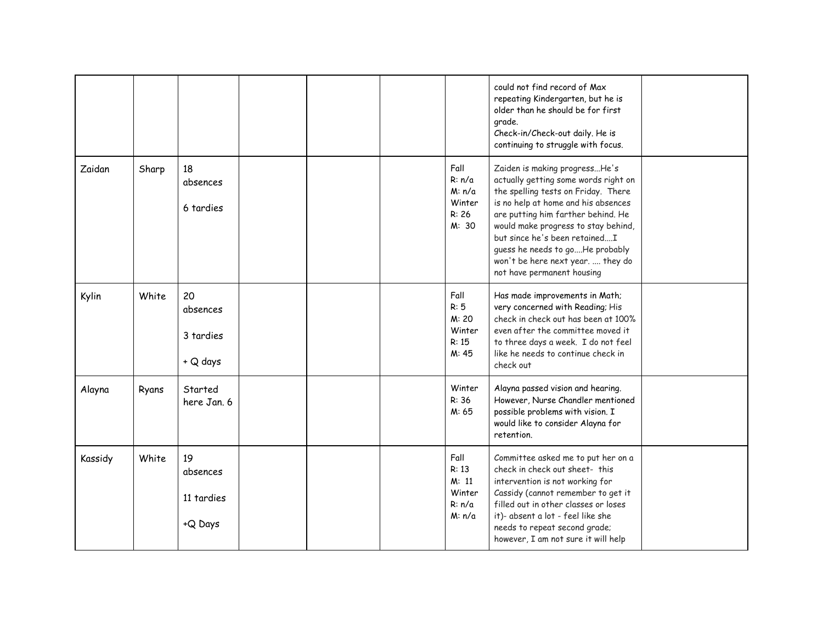|         |       |                                         |  |                                                      | could not find record of Max<br>repeating Kindergarten, but he is<br>older than he should be for first<br>grade.<br>Check-in/Check-out daily. He is<br>continuing to struggle with focus.                                                                                                                                                                               |  |
|---------|-------|-----------------------------------------|--|------------------------------------------------------|-------------------------------------------------------------------------------------------------------------------------------------------------------------------------------------------------------------------------------------------------------------------------------------------------------------------------------------------------------------------------|--|
| Zaidan  | Sharp | 18<br>absences<br>6 tardies             |  | Fall<br>R: n/a<br>M: n/a<br>Winter<br>R: 26<br>M: 30 | Zaiden is making progressHe's<br>actually getting some words right on<br>the spelling tests on Friday. There<br>is no help at home and his absences<br>are putting him farther behind. He<br>would make progress to stay behind,<br>but since he's been retainedI<br>guess he needs to goHe probably<br>won't be here next year.  they do<br>not have permanent housing |  |
| Kylin   | White | 20<br>absences<br>3 tardies<br>+ Q days |  | Fall<br>R: 5<br>M: 20<br>Winter<br>R: 15<br>M: 45    | Has made improvements in Math;<br>very concerned with Reading; His<br>check in check out has been at 100%<br>even after the committee moved it<br>to three days a week. I do not feel<br>like he needs to continue check in<br>check out                                                                                                                                |  |
| Alayna  | Ryans | Started<br>here Jan, 6                  |  | Winter<br>R: 36<br>M: 65                             | Alayna passed vision and hearing.<br>However, Nurse Chandler mentioned<br>possible problems with vision. I<br>would like to consider Alayna for<br>retention.                                                                                                                                                                                                           |  |
| Kassidy | White | 19<br>absences<br>11 tardies<br>+Q Days |  | Fall<br>R: 13<br>M: 11<br>Winter<br>R: n/a<br>M: n/a | Committee asked me to put her on a<br>check in check out sheet- this<br>intervention is not working for<br>Cassidy (cannot remember to get it<br>filled out in other classes or loses<br>it)- absent a lot - feel like she<br>needs to repeat second grade;<br>however, I am not sure it will help                                                                      |  |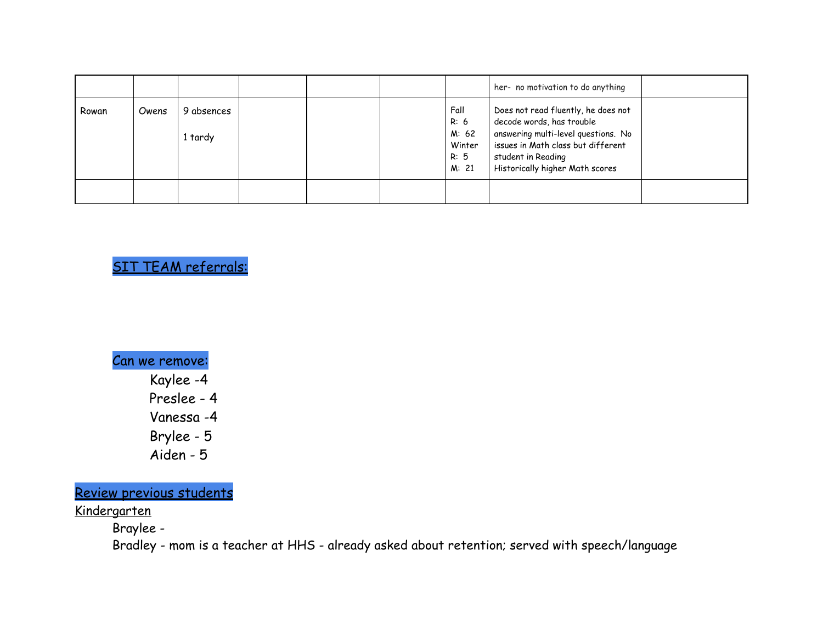|       |       |                       |  |                                                  | her- no motivation to do anything                                                                                                                                                                      |  |
|-------|-------|-----------------------|--|--------------------------------------------------|--------------------------------------------------------------------------------------------------------------------------------------------------------------------------------------------------------|--|
| Rowan | Owens | 9 absences<br>1 tardy |  | Fall<br>R: 6<br>M: 62<br>Winter<br>R: 5<br>M: 21 | Does not read fluently, he does not<br>decode words, has trouble<br>answering multi-level questions. No<br>issues in Math class but different<br>student in Reading<br>Historically higher Math scores |  |
|       |       |                       |  |                                                  |                                                                                                                                                                                                        |  |

# SIT TEAM referrals:

Can we remove: Kaylee -4 Preslee - 4 Vanessa -4 Brylee - 5 Aiden - 5

Review previous students

Kindergarten

Braylee -

Bradley - mom is a teacher at HHS - already asked about retention; served with speech/language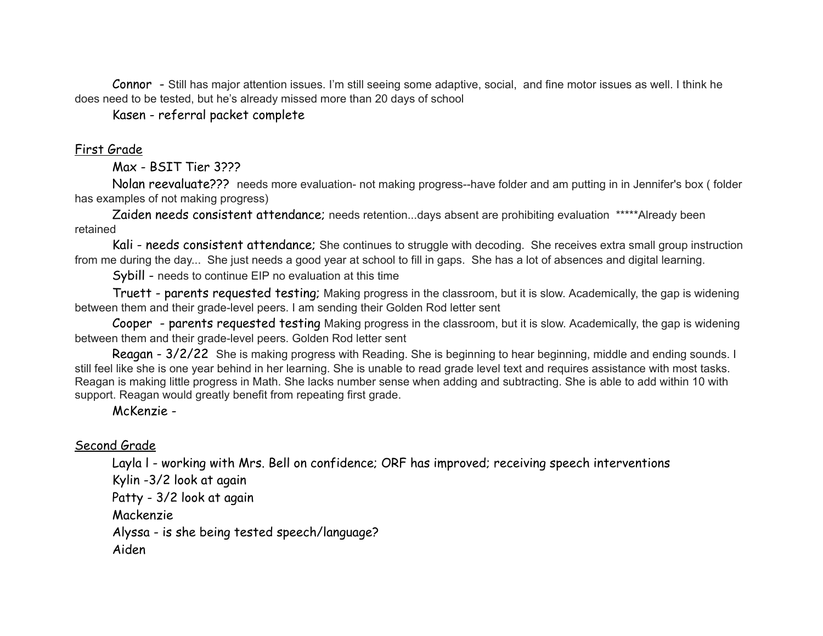Connor - Still has major attention issues. I'm still seeing some adaptive, social, and fine motor issues as well. I think he does need to be tested, but he's already missed more than 20 days of school

Kasen - referral packet complete

# First Grade

### Max - BSIT Tier 3???

Nolan reevaluate??? needs more evaluation- not making progress--have folder and am putting in in Jennifer's box ( folder has examples of not making progress)

Zaiden needs consistent attendance; needs retention...days absent are prohibiting evaluation \*\*\*\*\*Already been retained

Kali - needs consistent attendance; She continues to struggle with decoding. She receives extra small group instruction from me during the day... She just needs a good year at school to fill in gaps. She has a lot of absences and digital learning.

Sybill - needs to continue EIP no evaluation at this time

Truett - parents requested testing; Making progress in the classroom, but it is slow. Academically, the gap is widening between them and their grade-level peers. I am sending their Golden Rod letter sent

Cooper - parents requested testing Making progress in the classroom, but it is slow. Academically, the gap is widening between them and their grade-level peers. Golden Rod letter sent

Reagan - 3/2/22 She is making progress with Reading. She is beginning to hear beginning, middle and ending sounds. I still feel like she is one year behind in her learning. She is unable to read grade level text and requires assistance with most tasks. Reagan is making little progress in Math. She lacks number sense when adding and subtracting. She is able to add within 10 with support. Reagan would greatly benefit from repeating first grade.

### McKenzie -

### Second Grade

Layla I - working with Mrs. Bell on confidence; ORF has improved; receiving speech interventions

Kylin -3/2 look at again

Patty - 3/2 look at again

Mackenzie

Alyssa - is she being tested speech/language?

Aiden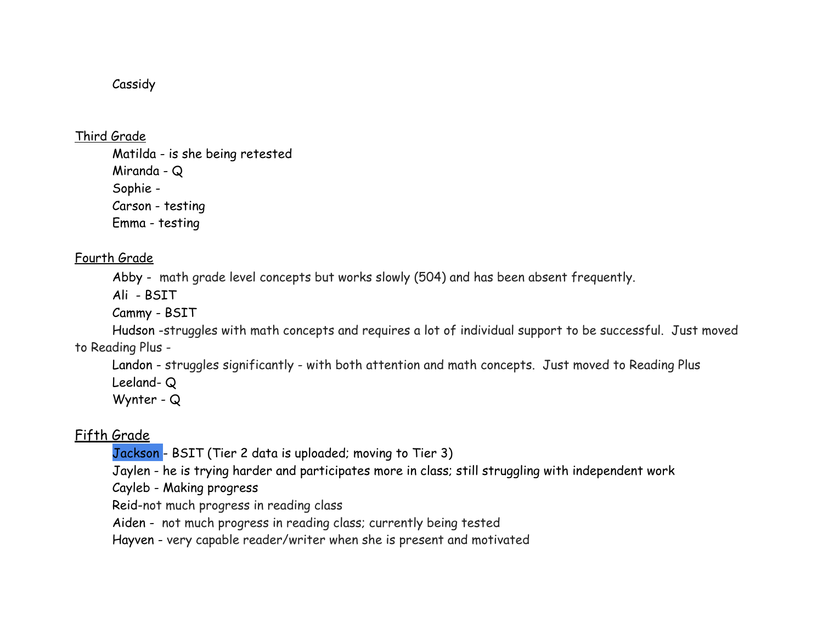# Cassidy

Third Grade

Matilda - is she being retested Miranda - Q Sophie - Carson - testing Emma - testing

# Fourth Grade

Abby - math grade level concepts but works slowly (504) and has been absent frequently.

Ali - BSIT

Cammy - BSIT

Hudson -struggles with math concepts and requires a lot of individual support to be successful. Just moved to Reading Plus -

Landon - struggles significantly - with both attention and math concepts. Just moved to Reading Plus Leeland- Q

Wynter - Q

# Fifth Grade

Jackson - BSIT (Tier 2 data is uploaded; moving to Tier 3)

Jaylen - he is trying harder and participates more in class; still struggling with independent work

Cayleb - Making progress

Reid-not much progress in reading class

Aiden - not much progress in reading class; currently being tested

Hayven - very capable reader/writer when she is present and motivated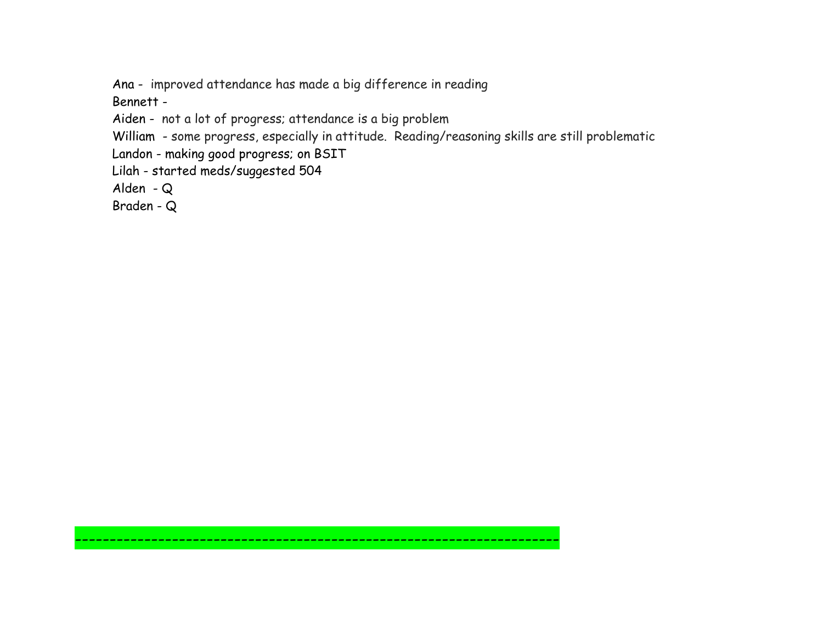Ana - improved attendance has made a big difference in reading

Bennett -

Aiden - not a lot of progress; attendance is a big problem

William - some progress, especially in attitude. Reading/reasoning skills are still problematic

----------------------------------------------------------------------

Landon - making good progress; on BSIT

Lilah - started meds/suggested 504

Alden - Q

Braden - Q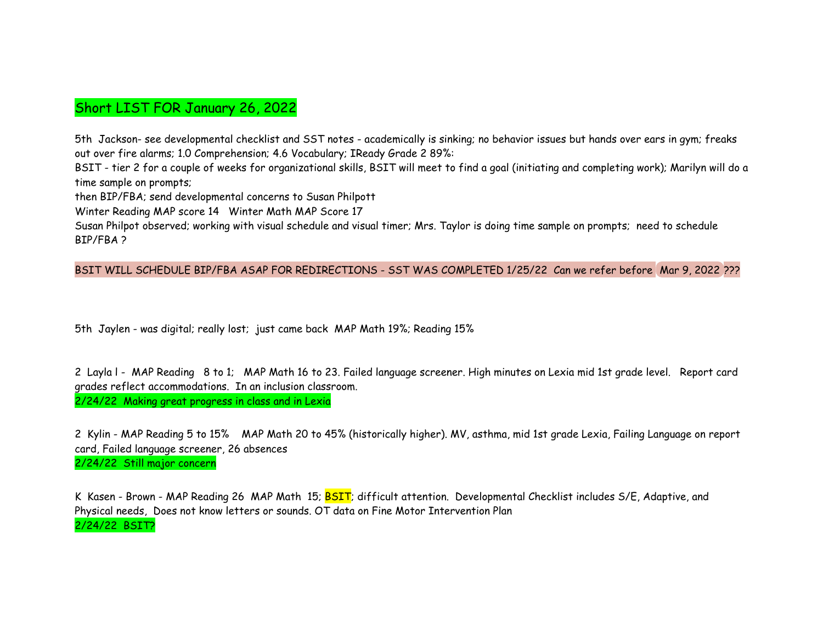# Short LIST FOR January 26, 2022

5th Jackson- see developmental checklist and SST notes - academically is sinking; no behavior issues but hands over ears in gym; freaks out over fire alarms; 1.0 Comprehension; 4.6 Vocabulary; IReady Grade 2 89%:

BSIT - tier 2 for a couple of weeks for organizational skills, BSIT will meet to find a goal (initiating and completing work); Marilyn will do a time sample on prompts;

then BIP/FBA; send developmental concerns to Susan Philpott

Winter Reading MAP score 14 Winter Math MAP Score 17

Susan Philpot observed; working with visual schedule and visual timer; Mrs. Taylor is doing time sample on prompts; need to schedule BIP/FBA ?

### BSIT WILL SCHEDULE BIP/FBA ASAP FOR REDIRECTIONS - SST WAS COMPLETED 1/25/22 Can we refer before Mar 9, 2022 ???

5th Jaylen - was digital; really lost; just came back MAP Math 19%; Reading 15%

2 Layla I - MAP Reading 8 to 1; MAP Math 16 to 23. Failed language screener. High minutes on Lexia mid 1st grade level. Report card grades reflect accommodations. In an inclusion classroom.

2/24/22 Making great progress in class and in Lexia

2 Kylin - MAP Reading 5 to 15% MAP Math 20 to 45% (historically higher). MV, asthma, mid 1st grade Lexia, Failing Language on report card, Failed language screener, 26 absences 2/24/22 Still major concern

K Kasen - Brown - MAP Reading 26 MAP Math 15; BSIT; difficult attention. Developmental Checklist includes S/E, Adaptive, and Physical needs, Does not know letters or sounds. OT data on Fine Motor Intervention Plan 2/24/22 BSIT?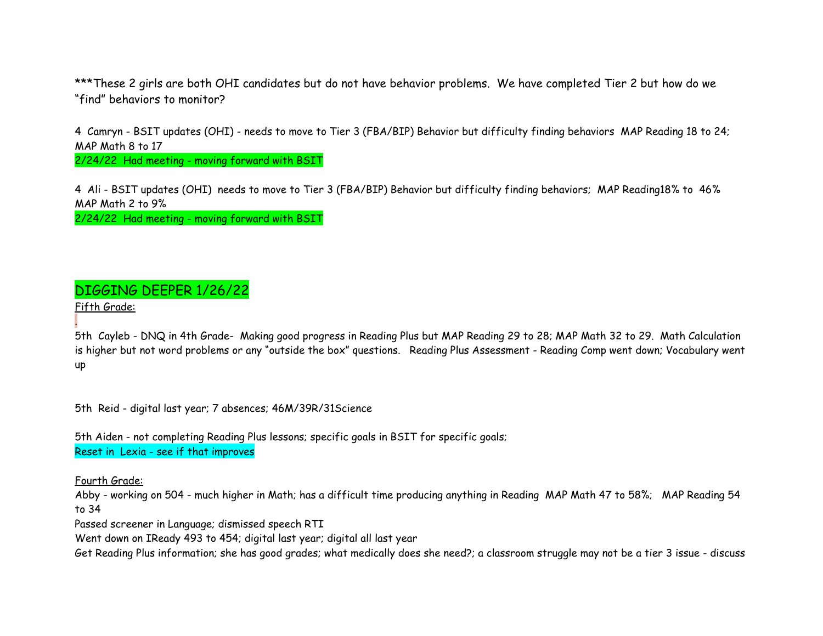\*\*\*These 2 girls are both OHI candidates but do not have behavior problems. We have completed Tier 2 but how do we "find" behaviors to monitor?

4 Camryn - BSIT updates (OHI) - needs to move to Tier 3 (FBA/BIP) Behavior but difficulty finding behaviors MAP Reading 18 to 24; MAP Math 8 to 17

2/24/22 Had meeting - moving forward with BSIT

4 Ali - BSIT updates (OHI) needs to move to Tier 3 (FBA/BIP) Behavior but difficulty finding behaviors; MAP Reading18% to 46% MAP Math 2 to 9%

2/24/22 Had meeting - moving forward with BSIT

# DIGGING DEEPER 1/26/22

Fifth Grade:

.

5th Cayleb - DNQ in 4th Grade- Making good progress in Reading Plus but MAP Reading 29 to 28; MAP Math 32 to 29. Math Calculation is higher but not word problems or any "outside the box" questions. Reading Plus Assessment - Reading Comp went down; Vocabulary went up

5th Reid - digital last year; 7 absences; 46M/39R/31Science

5th Aiden - not completing Reading Plus lessons; specific goals in BSIT for specific goals; Reset in Lexia - see if that improves

Fourth Grade:

Abby - working on 504 - much higher in Math; has a difficult time producing anything in Reading MAP Math 47 to 58%; MAP Reading 54 to 34

Passed screener in Language; dismissed speech RTI

Went down on IReady 493 to 454; digital last year; digital all last year

Get Reading Plus information; she has good grades; what medically does she need?; a classroom struggle may not be a tier 3 issue - discuss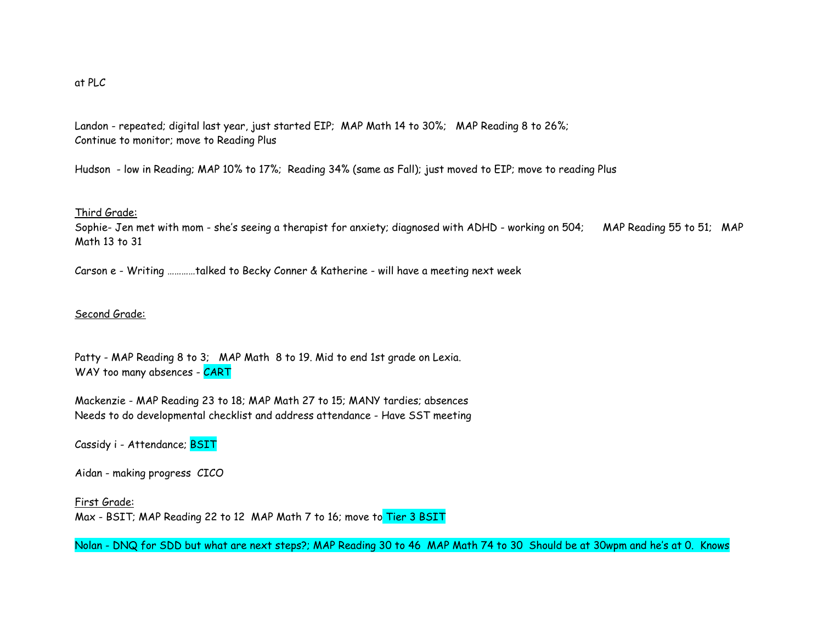### at PLC

Landon - repeated; digital last year, just started EIP; MAP Math 14 to 30%; MAP Reading 8 to 26%; Continue to monitor; move to Reading Plus

Hudson - low in Reading; MAP 10% to 17%; Reading 34% (same as Fall); just moved to EIP; move to reading Plus

#### Third Grade:

Sophie- Jen met with mom - she's seeing a therapist for anxiety; diagnosed with ADHD - working on 504; MAP Reading 55 to 51; MAP Math 13 to 31

Carson e - Writing …………talked to Becky Conner & Katherine - will have a meeting next week

#### Second Grade:

Patty - MAP Reading 8 to 3; MAP Math 8 to 19. Mid to end 1st grade on Lexia. WAY too many absences - CART

Mackenzie - MAP Reading 23 to 18; MAP Math 27 to 15; MANY tardies; absences Needs to do developmental checklist and address attendance - Have SST meeting

Cassidy i - Attendance; BSIT

Aidan - making progress CICO

First Grade: Max - BSIT; MAP Reading 22 to 12 MAP Math 7 to 16; move to Tier 3 BSIT

Nolan - DNQ for SDD but what are next steps?; MAP Reading 30 to 46 MAP Math 74 to 30 Should be at 30wpm and he's at 0. Knows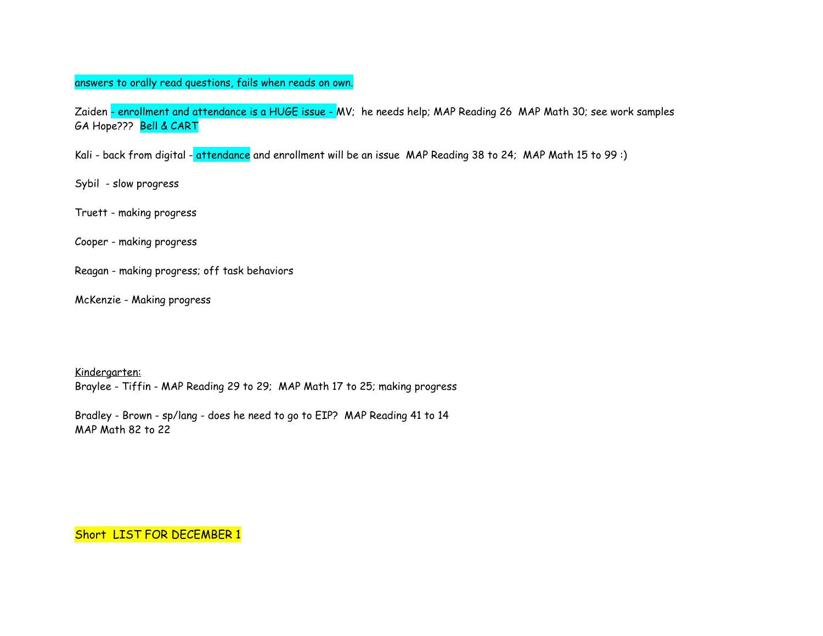### answers to orally read questions, fails when reads on own.

Zaiden - enrollment and attendance is a HUGE issue - MV; he needs help; MAP Reading 26 MAP Math 30; see work samples GA Hope??? Bell & CART

Kali - back from digital - attendance and enrollment will be an issue MAP Reading 38 to 24; MAP Math 15 to 99:)

Sybil - slow progress

Truett - making progress

Cooper - making progress

Reagan - making progress; off task behaviors

McKenzie - Making progress

Kindergarten:

Braylee - Tiffin - MAP Reading 29 to 29; MAP Math 17 to 25; making progress

Bradley - Brown - sp/lang - does he need to go to EIP? MAP Reading 41 to 14 MAP Math 82 to 22

Short LIST FOR DECEMBER 1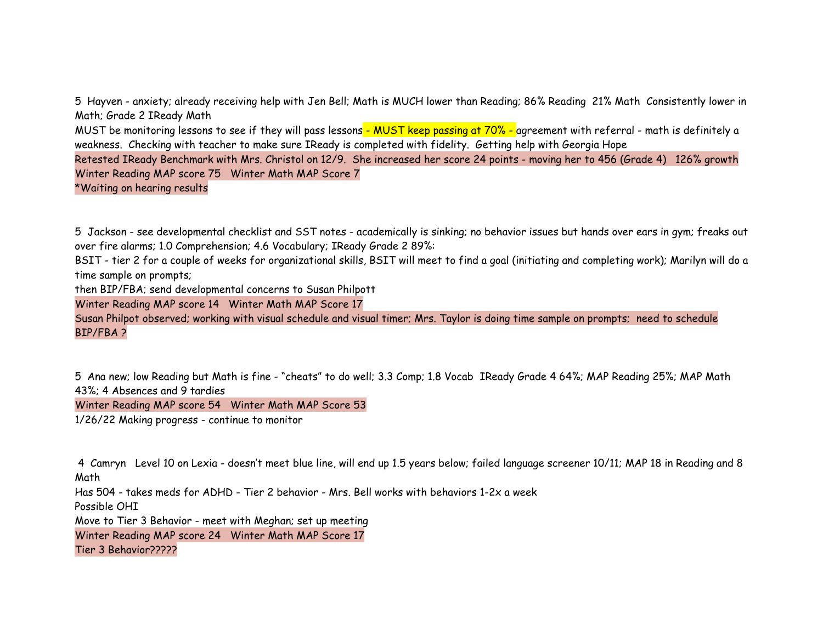5 Hayven - anxiety; already receiving help with Jen Bell; Math is MUCH lower than Reading; 86% Reading 21% Math Consistently lower in Math; Grade 2 IReady Math

MUST be monitoring lessons to see if they will pass lessons - MUST keep passing at 70% - agreement with referral - math is definitely a weakness. Checking with teacher to make sure IReady is completed with fidelity. Getting help with Georgia Hope

Retested IReady Benchmark with Mrs. Christol on 12/9. She increased her score 24 points - moving her to 456 (Grade 4) 126% growth Winter Reading MAP score 75 Winter Math MAP Score 7

\*Waiting on hearing results

5 Jackson - see developmental checklist and SST notes - academically is sinking; no behavior issues but hands over ears in gym; freaks out over fire alarms; 1.0 Comprehension; 4.6 Vocabulary; IReady Grade 2 89%:

BSIT - tier 2 for a couple of weeks for organizational skills, BSIT will meet to find a goal (initiating and completing work); Marilyn will do a time sample on prompts;

then BIP/FBA; send developmental concerns to Susan Philpott

Winter Reading MAP score 14 Winter Math MAP Score 17

Susan Philpot observed; working with visual schedule and visual timer; Mrs. Taylor is doing time sample on prompts; need to schedule BIP/FBA ?

5 Ana new; low Reading but Math is fine - "cheats" to do well; 3.3 Comp; 1.8 Vocab IReady Grade 4 64%; MAP Reading 25%; MAP Math 43%; 4 Absences and 9 tardies

Winter Reading MAP score 54 Winter Math MAP Score 53

1/26/22 Making progress - continue to monitor

4 Camryn Level 10 on Lexia - doesn't meet blue line, will end up 1.5 years below; failed language screener 10/11; MAP 18 in Reading and 8 Math

Has 504 - takes meds for ADHD - Tier 2 behavior - Mrs. Bell works with behaviors 1-2x a week

Possible OHI

Move to Tier 3 Behavior - meet with Meghan; set up meeting

Winter Reading MAP score 24 Winter Math MAP Score 17

Tier 3 Behavior?????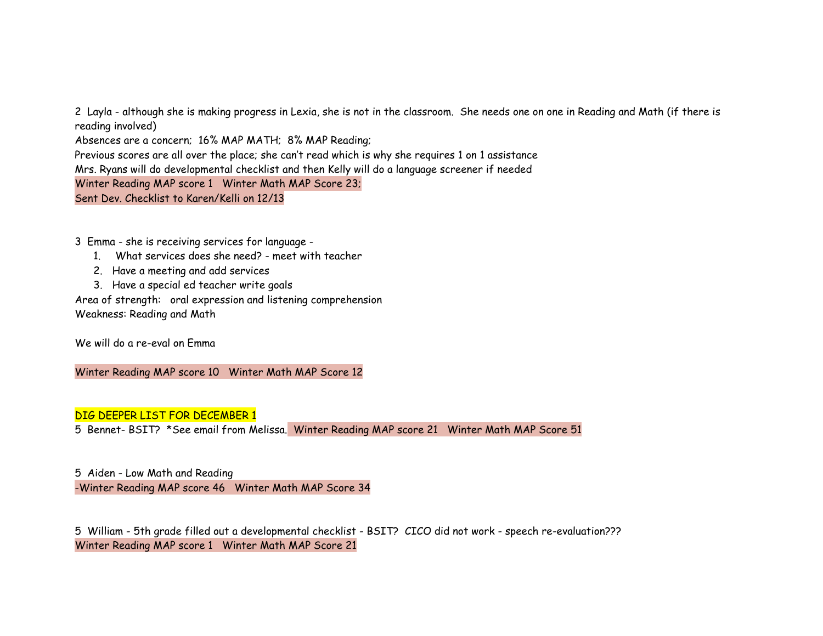2 Layla - although she is making progress in Lexia, she is not in the classroom. She needs one on one in Reading and Math (if there is reading involved) Absences are a concern; 16% MAP MATH; 8% MAP Reading; Previous scores are all over the place; she can't read which is why she requires 1 on 1 assistance Mrs. Ryans will do developmental checklist and then Kelly will do a language screener if needed Winter Reading MAP score 1 Winter Math MAP Score 23; Sent Dev. Checklist to Karen/Kelli on 12/13

3 Emma - she is receiving services for language -

- 1. What services does she need? meet with teacher
- 2. Have a meeting and add services
- 3. Have a special ed teacher write goals

Area of strength: oral expression and listening comprehension Weakness: Reading and Math

We will do a re-eval on Emma

Winter Reading MAP score 10 Winter Math MAP Score 12

### DIG DEEPER LIST FOR DECEMBER 1

5 Bennet- BSIT? \*See email from Melissa. Winter Reading MAP score 21 Winter Math MAP Score 51

5 Aiden - Low Math and Reading -Winter Reading MAP score 46 Winter Math MAP Score 34

5 William - 5th grade filled out a developmental checklist - BSIT? CICO did not work - speech re-evaluation??? Winter Reading MAP score 1 Winter Math MAP Score 21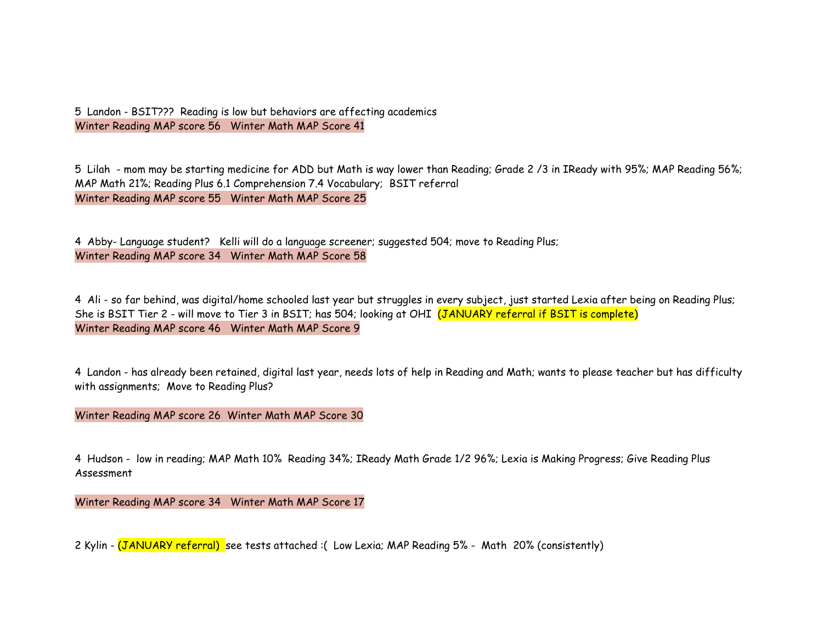5 Landon - BSIT??? Reading is low but behaviors are affecting academics Winter Reading MAP score 56 Winter Math MAP Score 41

5 Lilah - mom may be starting medicine for ADD but Math is way lower than Reading; Grade 2 /3 in IReady with 95%; MAP Reading 56%; MAP Math 21%; Reading Plus 6.1 Comprehension 7.4 Vocabulary; BSIT referral Winter Reading MAP score 55 Winter Math MAP Score 25

4 Abby- Language student? Kelli will do a language screener; suggested 504; move to Reading Plus; Winter Reading MAP score 34 Winter Math MAP Score 58

4 Ali - so far behind, was digital/home schooled last year but struggles in every subject, just started Lexia after being on Reading Plus; She is BSIT Tier 2 - will move to Tier 3 in BSIT; has 504; looking at OHI (JANUARY referral if BSIT is complete) Winter Reading MAP score 46 Winter Math MAP Score 9

4 Landon - has already been retained, digital last year, needs lots of help in Reading and Math; wants to please teacher but has difficulty with assignments; Move to Reading Plus?

Winter Reading MAP score 26 Winter Math MAP Score 30

4 Hudson - low in reading; MAP Math 10% Reading 34%; IReady Math Grade 1/2 96%; Lexia is Making Progress; Give Reading Plus Assessment

Winter Reading MAP score 34 Winter Math MAP Score 17

2 Kylin - (JANUARY referral) see tests attached :( Low Lexia; MAP Reading 5% - Math 20% (consistently)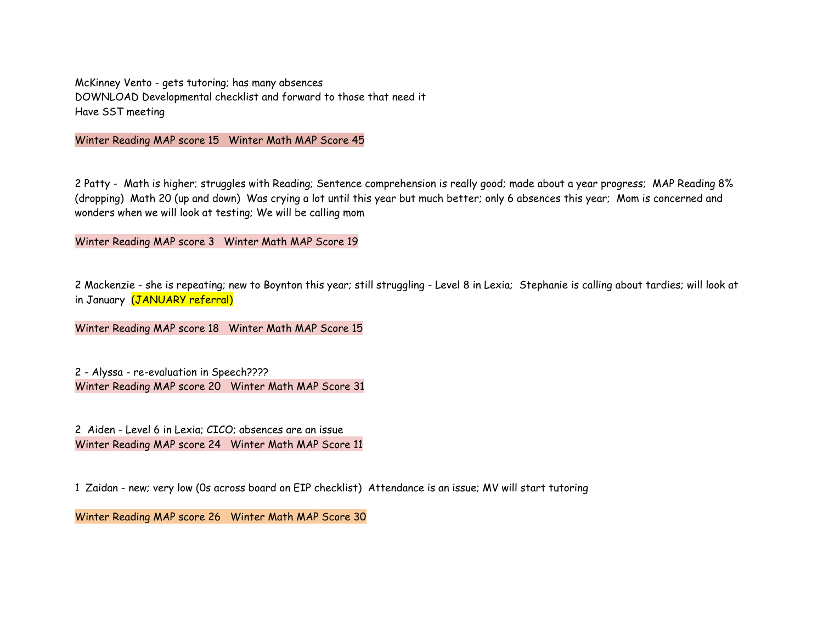McKinney Vento - gets tutoring; has many absences DOWNLOAD Developmental checklist and forward to those that need it Have SST meeting

Winter Reading MAP score 15 Winter Math MAP Score 45

2 Patty - Math is higher; struggles with Reading; Sentence comprehension is really good; made about a year progress; MAP Reading 8% (dropping) Math 20 (up and down) Was crying a lot until this year but much better; only 6 absences this year; Mom is concerned and wonders when we will look at testing; We will be calling mom

Winter Reading MAP score 3 Winter Math MAP Score 19

2 Mackenzie - she is repeating; new to Boynton this year; still struggling - Level 8 in Lexia; Stephanie is calling about tardies; will look at in January (JANUARY referral)

Winter Reading MAP score 18 Winter Math MAP Score 15

2 - Alyssa - re-evaluation in Speech???? Winter Reading MAP score 20 Winter Math MAP Score 31

2 Aiden - Level 6 in Lexia; CICO; absences are an issue Winter Reading MAP score 24 Winter Math MAP Score 11

1 Zaidan - new; very low (0s across board on EIP checklist) Attendance is an issue; MV will start tutoring

Winter Reading MAP score 26 Winter Math MAP Score 30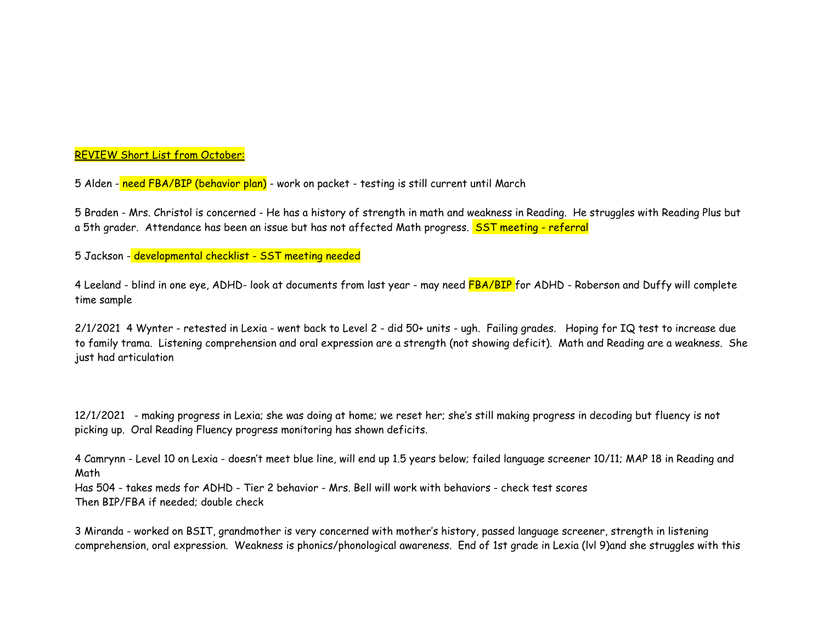### REVIEW Short List from October:

5 Alden - need FBA/BIP (behavior plan) - work on packet - testing is still current until March

5 Braden - Mrs. Christol is concerned - He has a history of strength in math and weakness in Reading. He struggles with Reading Plus but a 5th grader. Attendance has been an issue but has not affected Math progress. SST meeting - referral

5 Jackson - developmental checklist - SST meeting needed

4 Leeland - blind in one eye, ADHD- look at documents from last year - may need FBA/BIP for ADHD - Roberson and Duffy will complete time sample

2/1/2021 4 Wynter - retested in Lexia - went back to Level 2 - did 50+ units - ugh. Failing grades. Hoping for IQ test to increase due to family trama. Listening comprehension and oral expression are a strength (not showing deficit). Math and Reading are a weakness. She just had articulation

12/1/2021 - making progress in Lexia; she was doing at home; we reset her; she's still making progress in decoding but fluency is not picking up. Oral Reading Fluency progress monitoring has shown deficits.

4 Camrynn - Level 10 on Lexia - doesn't meet blue line, will end up 1.5 years below; failed language screener 10/11; MAP 18 in Reading and Math

Has 504 - takes meds for ADHD - Tier 2 behavior - Mrs. Bell will work with behaviors - check test scores Then BIP/FBA if needed; double check

3 Miranda - worked on BSIT, grandmother is very concerned with mother's history, passed language screener, strength in listening comprehension, oral expression. Weakness is phonics/phonological awareness. End of 1st grade in Lexia (lvl 9)and she struggles with this